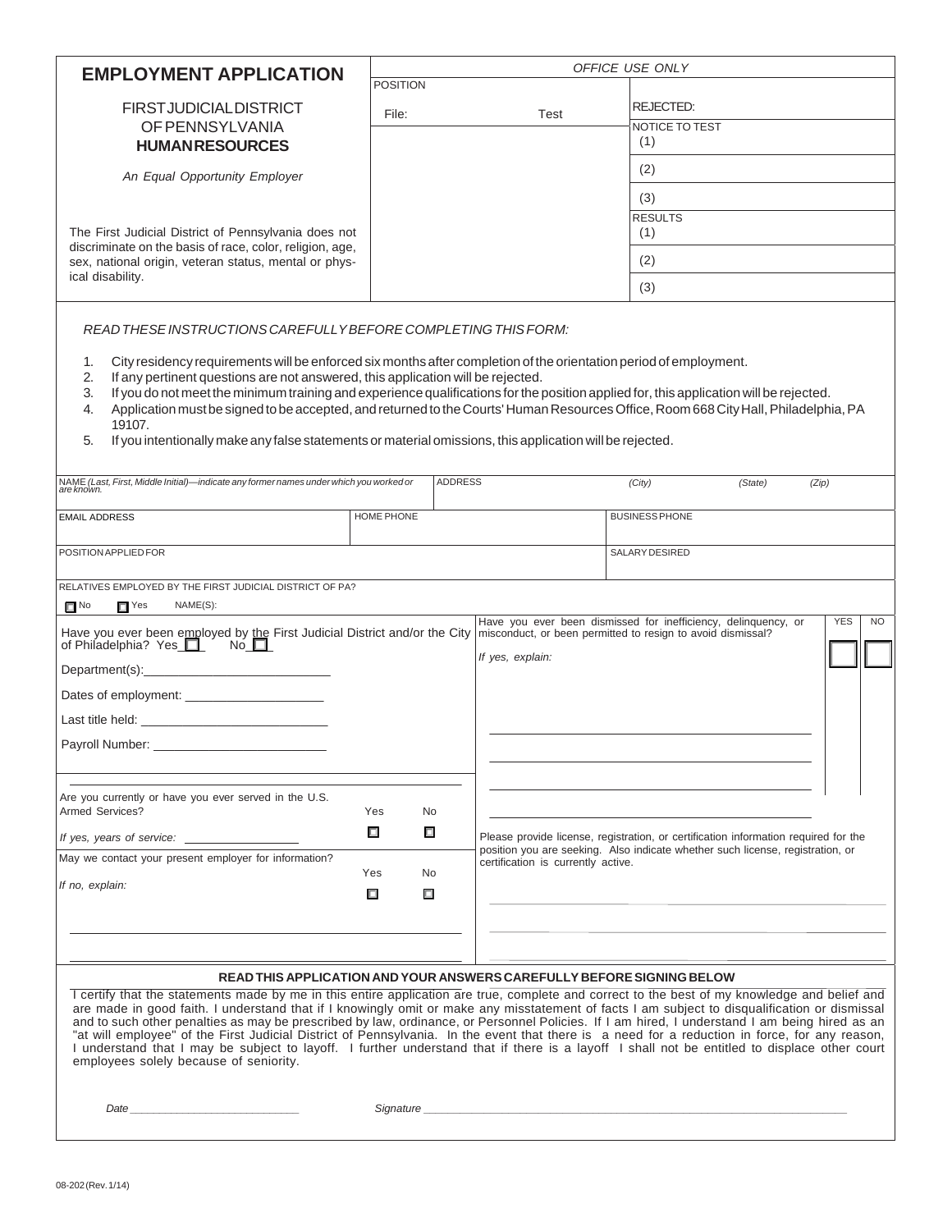| <b>EMPLOYMENT APPLICATION</b>                                                                                                                                                                                                         | OFFICE USE ONLY<br><b>POSITION</b> |                |                                                                                                                                                                       |                       |         |                         |  |
|---------------------------------------------------------------------------------------------------------------------------------------------------------------------------------------------------------------------------------------|------------------------------------|----------------|-----------------------------------------------------------------------------------------------------------------------------------------------------------------------|-----------------------|---------|-------------------------|--|
| <b>FIRSTJUDICIALDISTRICT</b>                                                                                                                                                                                                          | File:                              |                | Test                                                                                                                                                                  | <b>REJECTED:</b>      |         |                         |  |
| OF PENNSYLVANIA<br><b>HUMANRESOURCES</b>                                                                                                                                                                                              |                                    |                |                                                                                                                                                                       | NOTICE TO TEST<br>(1) |         |                         |  |
|                                                                                                                                                                                                                                       |                                    |                |                                                                                                                                                                       | (2)                   |         |                         |  |
| An Equal Opportunity Employer                                                                                                                                                                                                         |                                    |                |                                                                                                                                                                       | (3)                   |         |                         |  |
|                                                                                                                                                                                                                                       |                                    |                |                                                                                                                                                                       | <b>RESULTS</b>        |         |                         |  |
| The First Judicial District of Pennsylvania does not<br>discriminate on the basis of race, color, religion, age,                                                                                                                      |                                    |                |                                                                                                                                                                       | (1)<br>(2)            |         |                         |  |
| sex, national origin, veteran status, mental or phys-<br>ical disability.                                                                                                                                                             |                                    |                |                                                                                                                                                                       | (3)                   |         |                         |  |
|                                                                                                                                                                                                                                       |                                    |                |                                                                                                                                                                       |                       |         |                         |  |
| READ THESE INSTRUCTIONS CAREFULLY BEFORE COMPLETING THIS FORM:                                                                                                                                                                        |                                    |                |                                                                                                                                                                       |                       |         |                         |  |
| City residency requirements will be enforced six months after completion of the orientation period of employment.<br>1.                                                                                                               |                                    |                |                                                                                                                                                                       |                       |         |                         |  |
| If any pertinent questions are not answered, this application will be rejected.<br>2.<br>If you do not meet the minimum training and experience qualifications for the position applied for, this application will be rejected.<br>3. |                                    |                |                                                                                                                                                                       |                       |         |                         |  |
| Application must be signed to be accepted, and returned to the Courts' Human Resources Office, Room 668 City Hall, Philadelphia, PA<br>4.<br>19107.                                                                                   |                                    |                |                                                                                                                                                                       |                       |         |                         |  |
| If you intentionally make any false statements or material omissions, this application will be rejected.<br>5.                                                                                                                        |                                    |                |                                                                                                                                                                       |                       |         |                         |  |
| NAME (Last, First, Middle Initial)—indicate any former names under which you worked or<br>are known.                                                                                                                                  |                                    | <b>ADDRESS</b> |                                                                                                                                                                       | (City)                | (State) | (Zip)                   |  |
|                                                                                                                                                                                                                                       |                                    |                |                                                                                                                                                                       |                       |         |                         |  |
| <b>EMAIL ADDRESS</b>                                                                                                                                                                                                                  | <b>HOME PHONE</b>                  |                |                                                                                                                                                                       | <b>BUSINESS PHONE</b> |         |                         |  |
| POSITION APPLIED FOR                                                                                                                                                                                                                  |                                    |                |                                                                                                                                                                       | SALARY DESIRED        |         |                         |  |
| RELATIVES EMPLOYED BY THE FIRST JUDICIAL DISTRICT OF PA?                                                                                                                                                                              |                                    |                |                                                                                                                                                                       |                       |         |                         |  |
| $\Box$ No<br>$\Box$ Yes<br>NAME(S):                                                                                                                                                                                                   |                                    |                | Have you ever been dismissed for inefficiency, delinguency, or                                                                                                        |                       |         | <b>YES</b><br><b>NO</b> |  |
| Have you ever been employed by the First Judicial District and/or the City<br>of Philadelphia? Yes                                                                                                                                    |                                    |                | misconduct, or been permitted to resign to avoid dismissal?                                                                                                           |                       |         |                         |  |
| Department(s): Note and the set of the set of the set of the set of the set of the set of the set of the set of the set of the set of the set of the set of the set of the set of the set of the set of the set of the set of         |                                    |                | If yes, explain:                                                                                                                                                      |                       |         |                         |  |
| Dates of employment:                                                                                                                                                                                                                  |                                    |                |                                                                                                                                                                       |                       |         |                         |  |
|                                                                                                                                                                                                                                       |                                    |                |                                                                                                                                                                       |                       |         |                         |  |
| Payroll Number: _                                                                                                                                                                                                                     |                                    |                |                                                                                                                                                                       |                       |         |                         |  |
|                                                                                                                                                                                                                                       |                                    |                |                                                                                                                                                                       |                       |         |                         |  |
| Are you currently or have you ever served in the U.S.<br>Armed Services?                                                                                                                                                              | Yes<br>No                          |                |                                                                                                                                                                       |                       |         |                         |  |
|                                                                                                                                                                                                                                       | □<br>口                             |                | Please provide license, registration, or certification information required for the<br>position you are seeking. Also indicate whether such license, registration, or |                       |         |                         |  |
| May we contact your present employer for information?                                                                                                                                                                                 | Yes<br>No                          |                | certification is currently active.                                                                                                                                    |                       |         |                         |  |
| If no, explain:                                                                                                                                                                                                                       | $\Box$<br>о                        |                |                                                                                                                                                                       |                       |         |                         |  |
|                                                                                                                                                                                                                                       |                                    |                |                                                                                                                                                                       |                       |         |                         |  |
|                                                                                                                                                                                                                                       |                                    |                |                                                                                                                                                                       |                       |         |                         |  |
| READ THIS APPLICATION AND YOUR ANSWERS CAREFULLY BEFORE SIGNING BELOW                                                                                                                                                                 |                                    |                |                                                                                                                                                                       |                       |         |                         |  |

I certify that the statements made by me in this entire application are true, complete and correct to the best of my knowledge and belief and are made in good faith. I understand that if I knowingly omit or make any misstatement of facts I am subject to disqualification or dismissal and to such other penalties as may be prescribed by law, ordinance, or Personnel Policies. If I am hired, I understand I am being hired as an "at will employee" of the First Judicial District of Pennsylvania. In the event that there is a need for a reduction in force, for any reason, I understand that I may be subject to layoff. I further understand that if there is a layoff I shall not be entitled to displace other court employees solely because of seniority.

 *Date \_\_\_\_\_\_\_\_\_\_\_\_\_\_\_\_\_\_\_\_\_\_\_\_\_\_\_\_\_ Signature \_\_\_\_\_\_\_\_\_\_\_\_\_\_\_\_\_\_\_\_\_\_\_\_\_\_\_\_\_\_\_\_\_\_\_\_\_\_\_\_\_\_\_\_\_\_\_\_\_\_\_\_\_\_\_\_\_\_\_\_\_\_\_\_\_\_\_\_\_\_*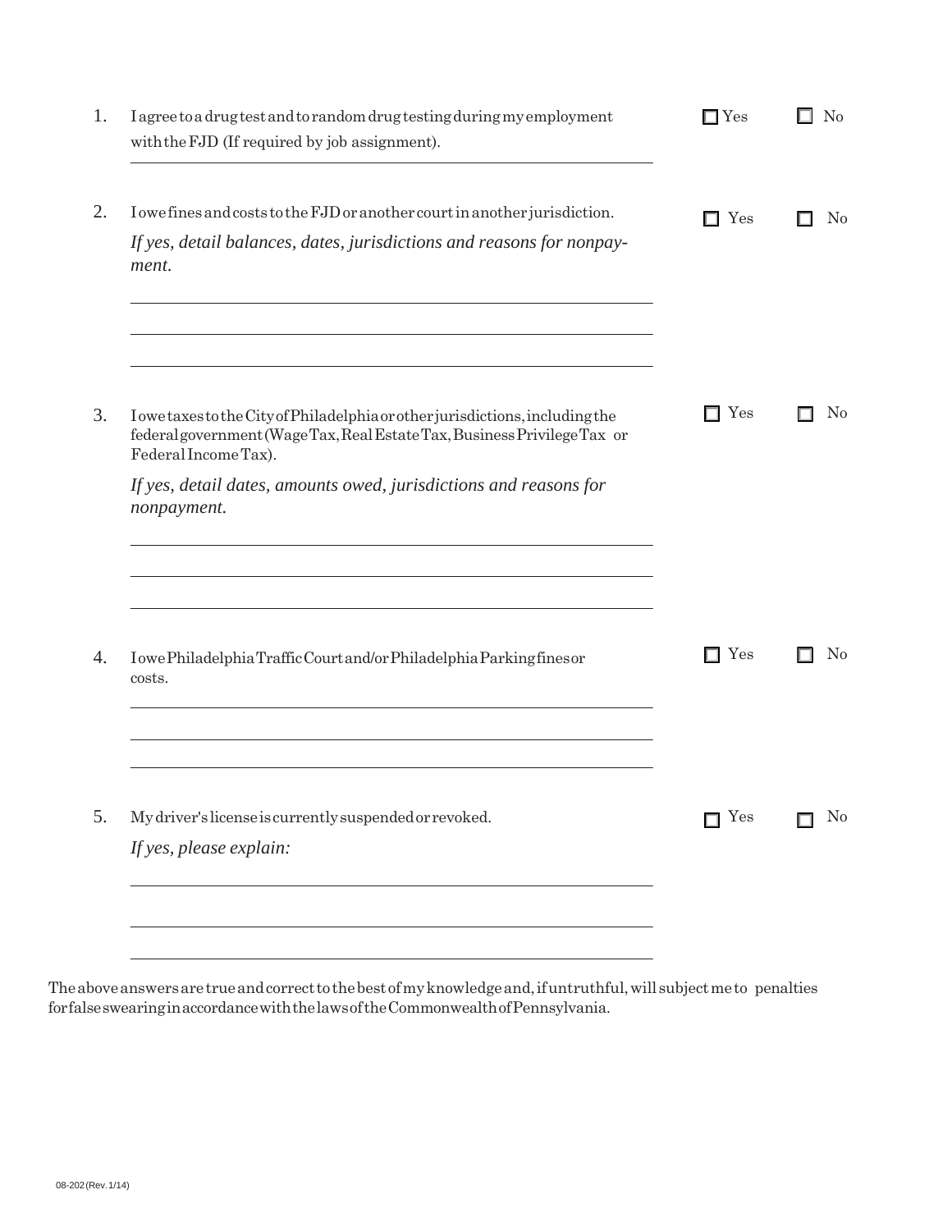| I agree to a drug test and to random drug testing during my employment<br>with the FJD (If required by job assignment).                                                                                                                                 | $\square$ Yes | N <sub>0</sub><br>ш |
|---------------------------------------------------------------------------------------------------------------------------------------------------------------------------------------------------------------------------------------------------------|---------------|---------------------|
| I owe fines and costs to the FJD or another court in another jurisdiction.<br>If yes, detail balances, dates, jurisdictions and reasons for nonpay-<br>ment.                                                                                            | $\Box$ Yes    | N <sub>o</sub><br>ा |
| IowetaxestotheCityofPhiladelphiaorotherjurisdictions, including the<br>federalgovernment (WageTax, Real EstateTax, Business PrivilegeTax or<br>Federal Income Tax).<br>If yes, detail dates, amounts owed, jurisdictions and reasons for<br>nonpayment. | Yes           | $\rm No$            |
| IowePhiladelphiaTrafficCourtand/orPhiladelphiaParkingfinesor<br>costs.                                                                                                                                                                                  | Yes<br>ш      | $\rm No$            |
| My driver's license is currently suspended or revoked.<br>If yes, please explain:                                                                                                                                                                       | Yes<br>П      | N <sub>0</sub>      |

The above answers are true and correct to the best of my knowledge and, if untruthful, will subject me to penalties for false swearing in accordance with the laws of the Commonwealth of Pennsylvania.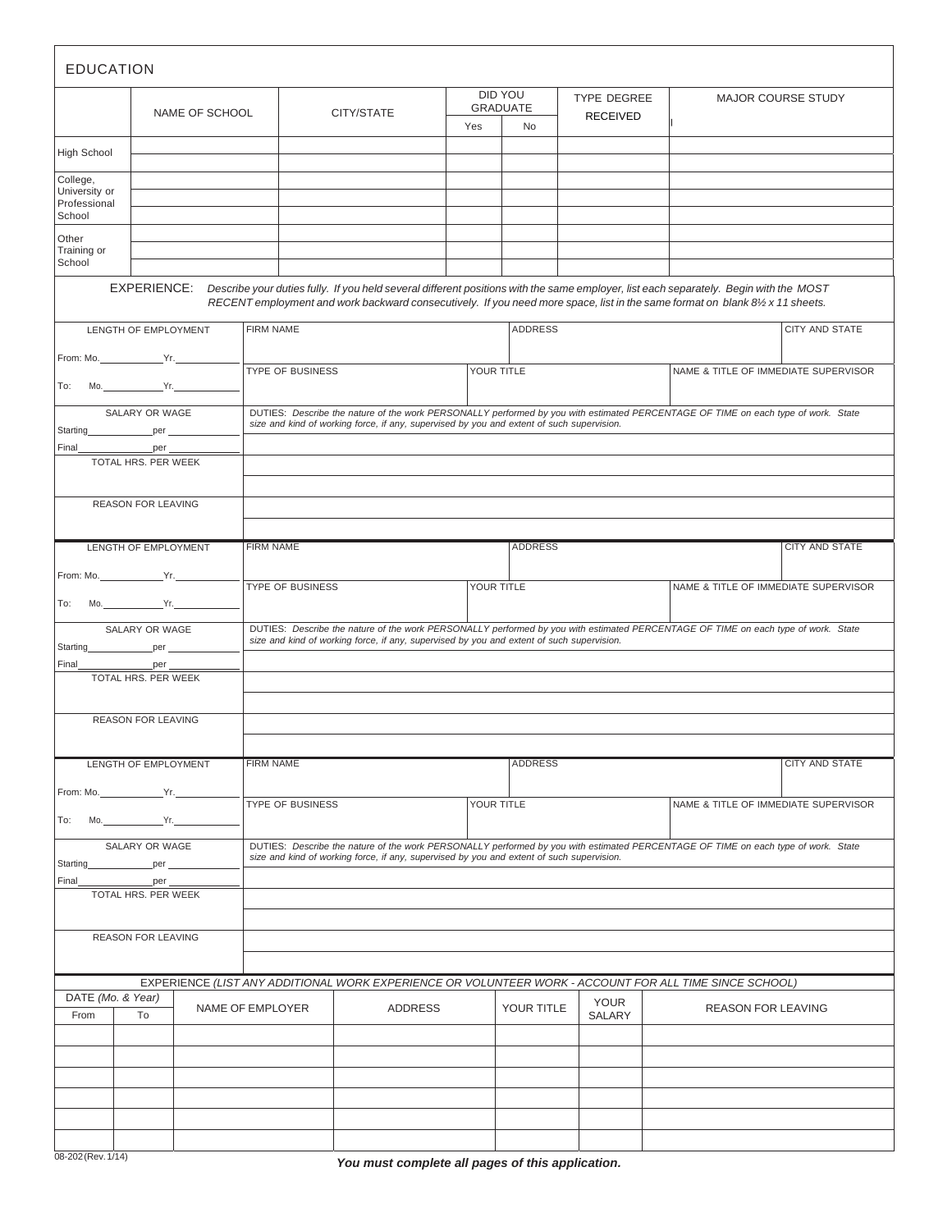| <b>EDUCATION</b>                                                                                       |                                   |                             |                                                                                                                                                                                                                                |                                                                                                                                                                                                                                |                                     |                                  |                                      |                                                                                                                                                                                                                                                                      |                                      |  |
|--------------------------------------------------------------------------------------------------------|-----------------------------------|-----------------------------|--------------------------------------------------------------------------------------------------------------------------------------------------------------------------------------------------------------------------------|--------------------------------------------------------------------------------------------------------------------------------------------------------------------------------------------------------------------------------|-------------------------------------|----------------------------------|--------------------------------------|----------------------------------------------------------------------------------------------------------------------------------------------------------------------------------------------------------------------------------------------------------------------|--------------------------------------|--|
|                                                                                                        |                                   | NAME OF SCHOOL              |                                                                                                                                                                                                                                | CITY/STATE                                                                                                                                                                                                                     | Yes                                 | DID YOU<br><b>GRADUATE</b><br>No | TYPE DEGREE<br><b>RECEIVED</b>       |                                                                                                                                                                                                                                                                      | <b>MAJOR COURSE STUDY</b>            |  |
| <b>High School</b>                                                                                     |                                   |                             |                                                                                                                                                                                                                                |                                                                                                                                                                                                                                |                                     |                                  |                                      |                                                                                                                                                                                                                                                                      |                                      |  |
| College,<br>University or<br>Professional<br>School                                                    |                                   |                             |                                                                                                                                                                                                                                |                                                                                                                                                                                                                                |                                     |                                  |                                      |                                                                                                                                                                                                                                                                      |                                      |  |
| Other<br>Training or<br>School                                                                         |                                   |                             |                                                                                                                                                                                                                                |                                                                                                                                                                                                                                |                                     |                                  |                                      |                                                                                                                                                                                                                                                                      |                                      |  |
|                                                                                                        | EXPERIENCE:                       |                             |                                                                                                                                                                                                                                |                                                                                                                                                                                                                                |                                     |                                  |                                      | Describe your duties fully. If you held several different positions with the same employer, list each separately. Begin with the MOST<br>RECENT employment and work backward consecutively. If you need more space, list in the same format on blank 8½ x 11 sheets. |                                      |  |
| LENGTH OF EMPLOYMENT                                                                                   |                                   |                             | <b>FIRM NAME</b>                                                                                                                                                                                                               |                                                                                                                                                                                                                                |                                     | <b>ADDRESS</b>                   |                                      |                                                                                                                                                                                                                                                                      | CITY AND STATE                       |  |
| To:                                                                                                    | $Mo.$ Yr.                         |                             | TYPE OF BUSINESS                                                                                                                                                                                                               |                                                                                                                                                                                                                                |                                     | YOUR TITLE                       |                                      |                                                                                                                                                                                                                                                                      | NAME & TITLE OF IMMEDIATE SUPERVISOR |  |
| SALARY OR WAGE<br>Starting per                                                                         |                                   |                             | DUTIES: Describe the nature of the work PERSONALLY performed by you with estimated PERCENTAGE OF TIME on each type of work. State<br>size and kind of working force, if any, supervised by you and extent of such supervision. |                                                                                                                                                                                                                                |                                     |                                  |                                      |                                                                                                                                                                                                                                                                      |                                      |  |
| Final_____                                                                                             | <u>per</u><br>TOTAL HRS. PER WEEK |                             |                                                                                                                                                                                                                                |                                                                                                                                                                                                                                |                                     |                                  |                                      |                                                                                                                                                                                                                                                                      |                                      |  |
|                                                                                                        | <b>REASON FOR LEAVING</b>         |                             |                                                                                                                                                                                                                                |                                                                                                                                                                                                                                |                                     |                                  |                                      |                                                                                                                                                                                                                                                                      |                                      |  |
| LENGTH OF EMPLOYMENT                                                                                   |                                   |                             | <b>FIRM NAME</b>                                                                                                                                                                                                               | <b>ADDRESS</b>                                                                                                                                                                                                                 |                                     |                                  |                                      | <b>CITY AND STATE</b>                                                                                                                                                                                                                                                |                                      |  |
|                                                                                                        |                                   |                             | TYPE OF BUSINESS                                                                                                                                                                                                               |                                                                                                                                                                                                                                |                                     | YOUR TITLE                       |                                      | NAME & TITLE OF IMMEDIATE SUPERVISOR                                                                                                                                                                                                                                 |                                      |  |
| To:                                                                                                    | Mo. Yr.                           |                             |                                                                                                                                                                                                                                |                                                                                                                                                                                                                                |                                     |                                  |                                      |                                                                                                                                                                                                                                                                      |                                      |  |
| SALARY OR WAGE<br>Starting per per<br>Final<br>per                                                     |                                   |                             | DUTIES: Describe the nature of the work PERSONALLY performed by you with estimated PERCENTAGE OF TIME on each type of work. State<br>size and kind of working force, if any, supervised by you and extent of such supervision. |                                                                                                                                                                                                                                |                                     |                                  |                                      |                                                                                                                                                                                                                                                                      |                                      |  |
|                                                                                                        | TOTAL HRS. PER WEEK               |                             |                                                                                                                                                                                                                                |                                                                                                                                                                                                                                |                                     |                                  |                                      |                                                                                                                                                                                                                                                                      |                                      |  |
|                                                                                                        | <b>REASON FOR LEAVING</b>         |                             |                                                                                                                                                                                                                                |                                                                                                                                                                                                                                |                                     |                                  |                                      |                                                                                                                                                                                                                                                                      |                                      |  |
| LENGTH OF EMPLOYMENT                                                                                   |                                   | <b>FIRM NAME</b>            |                                                                                                                                                                                                                                |                                                                                                                                                                                                                                | <b>ADDRESS</b>                      |                                  |                                      | <b>CITY AND STATE</b>                                                                                                                                                                                                                                                |                                      |  |
| Mo. 7.1. Yr.<br>To:                                                                                    |                                   | <b>TYPE OF BUSINESS</b>     |                                                                                                                                                                                                                                |                                                                                                                                                                                                                                | YOUR TITLE                          |                                  | NAME & TITLE OF IMMEDIATE SUPERVISOR |                                                                                                                                                                                                                                                                      |                                      |  |
| SALARY OR WAGE<br>Starting per                                                                         |                                   |                             |                                                                                                                                                                                                                                | DUTIES: Describe the nature of the work PERSONALLY performed by you with estimated PERCENTAGE OF TIME on each type of work. State<br>size and kind of working force, if any, supervised by you and extent of such supervision. |                                     |                                  |                                      |                                                                                                                                                                                                                                                                      |                                      |  |
| Final                                                                                                  | per<br>TOTAL HRS. PER WEEK        |                             |                                                                                                                                                                                                                                |                                                                                                                                                                                                                                |                                     |                                  |                                      |                                                                                                                                                                                                                                                                      |                                      |  |
| <b>REASON FOR LEAVING</b>                                                                              |                                   |                             |                                                                                                                                                                                                                                |                                                                                                                                                                                                                                |                                     |                                  |                                      |                                                                                                                                                                                                                                                                      |                                      |  |
| EXPERIENCE (LIST ANY ADDITIONAL WORK EXPERIENCE OR VOLUNTEER WORK - ACCOUNT FOR ALL TIME SINCE SCHOOL) |                                   |                             |                                                                                                                                                                                                                                |                                                                                                                                                                                                                                |                                     |                                  |                                      |                                                                                                                                                                                                                                                                      |                                      |  |
| DATE (Mo. & Year)<br>To<br>From                                                                        |                                   | NAME OF EMPLOYER<br>ADDRESS |                                                                                                                                                                                                                                |                                                                                                                                                                                                                                | <b>YOUR</b><br>YOUR TITLE<br>SALARY |                                  |                                      | <b>REASON FOR LEAVING</b>                                                                                                                                                                                                                                            |                                      |  |
|                                                                                                        |                                   |                             |                                                                                                                                                                                                                                |                                                                                                                                                                                                                                |                                     |                                  |                                      |                                                                                                                                                                                                                                                                      |                                      |  |
|                                                                                                        |                                   |                             |                                                                                                                                                                                                                                |                                                                                                                                                                                                                                |                                     |                                  |                                      |                                                                                                                                                                                                                                                                      |                                      |  |
|                                                                                                        |                                   |                             |                                                                                                                                                                                                                                |                                                                                                                                                                                                                                |                                     |                                  |                                      |                                                                                                                                                                                                                                                                      |                                      |  |
|                                                                                                        |                                   |                             |                                                                                                                                                                                                                                |                                                                                                                                                                                                                                |                                     |                                  |                                      |                                                                                                                                                                                                                                                                      |                                      |  |